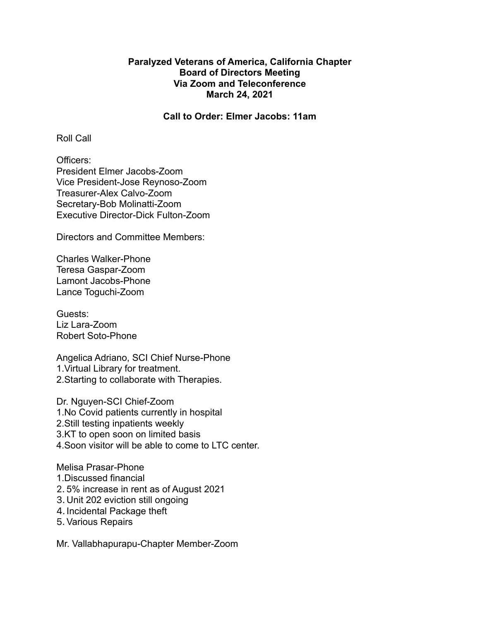# **Paralyzed Veterans of America, California Chapter Board of Directors Meeting Via Zoom and Teleconference March 24, 2021**

#### **Call to Order: Elmer Jacobs: 11am**

Roll Call

Officers: President Elmer Jacobs-Zoom Vice President-Jose Reynoso-Zoom Treasurer-Alex Calvo-Zoom Secretary-Bob Molinatti-Zoom Executive Director-Dick Fulton-Zoom

Directors and Committee Members:

Charles Walker-Phone Teresa Gaspar-Zoom Lamont Jacobs-Phone Lance Toguchi-Zoom

Guests: Liz Lara-Zoom Robert Soto-Phone

Angelica Adriano, SCI Chief Nurse-Phone 1.Virtual Library for treatment. 2.Starting to collaborate with Therapies.

Dr. Nguyen-SCI Chief-Zoom 1.No Covid patients currently in hospital 2.Still testing inpatients weekly 3.KT to open soon on limited basis 4.Soon visitor will be able to come to LTC center.

Melisa Prasar-Phone

- 1.Discussed financial
- 2. 5% increase in rent as of August 2021
- 3. Unit 202 eviction still ongoing
- 4.Incidental Package theft
- 5. Various Repairs

Mr. Vallabhapurapu-Chapter Member-Zoom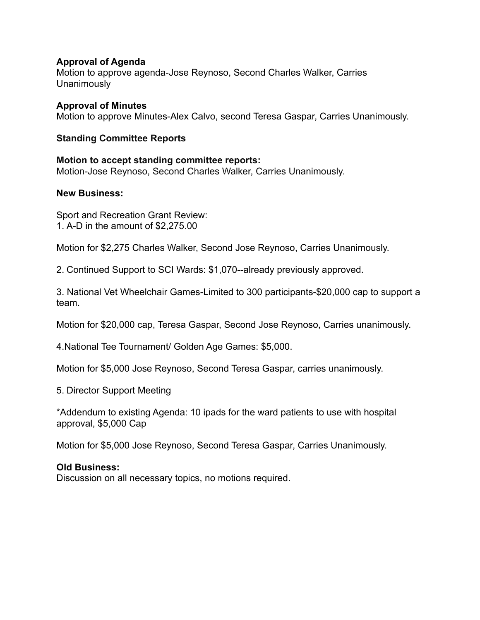# **Approval of Agenda**

Motion to approve agenda-Jose Reynoso, Second Charles Walker, Carries **Unanimously** 

**Approval of Minutes** Motion to approve Minutes-Alex Calvo, second Teresa Gaspar, Carries Unanimously.

## **Standing Committee Reports**

**Motion to accept standing committee reports:** Motion-Jose Reynoso, Second Charles Walker, Carries Unanimously.

#### **New Business:**

Sport and Recreation Grant Review: 1. A-D in the amount of \$2,275.00

Motion for \$2,275 Charles Walker, Second Jose Reynoso, Carries Unanimously.

2. Continued Support to SCI Wards: \$1,070--already previously approved.

3. National Vet Wheelchair Games-Limited to 300 participants-\$20,000 cap to support a team.

Motion for \$20,000 cap, Teresa Gaspar, Second Jose Reynoso, Carries unanimously.

4.National Tee Tournament/ Golden Age Games: \$5,000.

Motion for \$5,000 Jose Reynoso, Second Teresa Gaspar, carries unanimously.

5. Director Support Meeting

\*Addendum to existing Agenda: 10 ipads for the ward patients to use with hospital approval, \$5,000 Cap

Motion for \$5,000 Jose Reynoso, Second Teresa Gaspar, Carries Unanimously.

# **Old Business:**

Discussion on all necessary topics, no motions required.